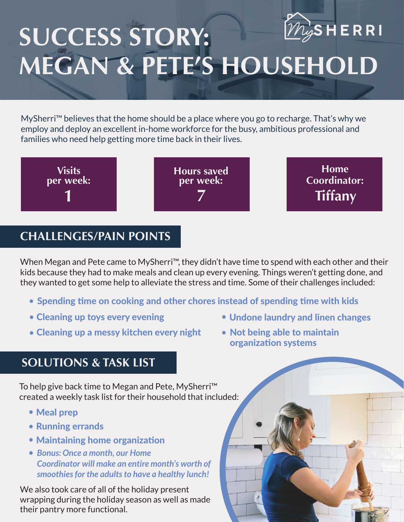

## **SUCCESS STORY: MEGAN & PETE'S HOUSEHOLD**

MySherri™ believes that the home should be a place where you go to recharge. That's why we employ and deploy an excellent in-home workforce for the busy, ambitious professional and families who need help getting more time back in their lives.



## **CHALLENGES/PAIN POINTS**

When Megan and Pete came to MySherri™, they didn't have time to spend with each other and their kids because they had to make meals and clean up every evening. Things weren't getting done, and they wanted to get some help to alleviate the stress and time. Some of their challenges included:

- Spending time on cooking and other chores instead of spending time with kids
- Cleaning up toys every evening
- Cleaning up a messy kitchen every night
- Undone laundry and linen changes
- Not being able to maintain organization systems

## **SOLUTIONS & TASK LIST**

To help give back time to Megan and Pete, MySherri™ created a weekly task list for their household that included:

- Meal prep
- Running errands
- Maintaining home organization
- *Bonus: Once a month, our Home Coordinator will make an entire month's worth of smoothies for the adults to have a healthy lunch!*

We also took care of all of the holiday present wrapping during the holiday season as well as made their pantry more functional.